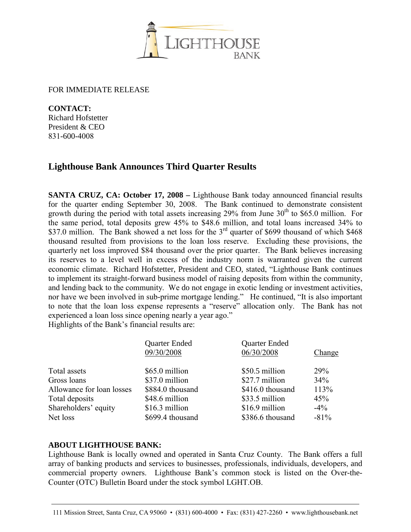

FOR IMMEDIATE RELEASE

**CONTACT:** Richard Hofstetter President & CEO 831-600-4008

## **Lighthouse Bank Announces Third Quarter Results**

**SANTA CRUZ, CA: October 17, 2008 –** Lighthouse Bank today announced financial results for the quarter ending September 30, 2008. The Bank continued to demonstrate consistent growth during the period with total assets increasing  $29\%$  from June  $30<sup>th</sup>$  to \$65.0 million. For the same period, total deposits grew 45% to \$48.6 million, and total loans increased 34% to \$37.0 million. The Bank showed a net loss for the 3<sup>rd</sup> quarter of \$699 thousand of which \$468 thousand resulted from provisions to the loan loss reserve. Excluding these provisions, the quarterly net loss improved \$84 thousand over the prior quarter. The Bank believes increasing its reserves to a level well in excess of the industry norm is warranted given the current economic climate. Richard Hofstetter, President and CEO, stated, "Lighthouse Bank continues to implement its straight-forward business model of raising deposits from within the community, and lending back to the community. We do not engage in exotic lending or investment activities, nor have we been involved in sub-prime mortgage lending." He continued, "It is also important to note that the loan loss expense represents a "reserve" allocation only. The Bank has not experienced a loan loss since opening nearly a year ago."

Highlights of the Bank's financial results are:

| Quarter Ended                                 | <b>Quarter Ended</b> |         |
|-----------------------------------------------|----------------------|---------|
| 09/30/2008                                    | 06/30/2008           | Change  |
| \$65.0 million<br>Total assets                | \$50.5 million       | 29%     |
| \$37.0 million<br>Gross loans                 | \$27.7 million       | 34%     |
| Allowance for loan losses<br>\$884.0 thousand | \$416.0 thousand     | 113%    |
| \$48.6 million<br>Total deposits              | \$33.5 million       | 45%     |
| Shareholders' equity<br>\$16.3 million        | \$16.9 million       | $-4\%$  |
| \$699.4 thousand<br>Net loss                  | \$386.6 thousand     | $-81\%$ |

## **ABOUT LIGHTHOUSE BANK:**

Lighthouse Bank is locally owned and operated in Santa Cruz County. The Bank offers a full array of banking products and services to businesses, professionals, individuals, developers, and commercial property owners. Lighthouse Bank's common stock is listed on the Over-the-Counter (OTC) Bulletin Board under the stock symbol LGHT.OB.